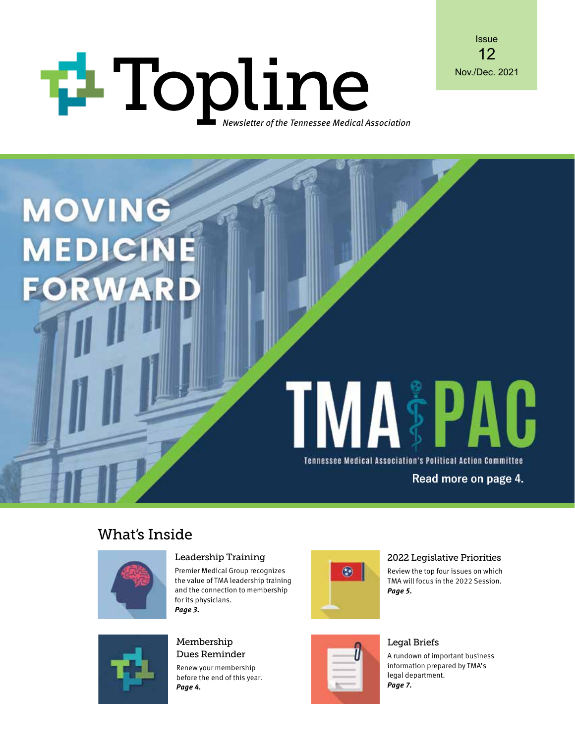# Topline Mov./Dec. 2021 Newsletter of the Tennessee Medical Association



# $\mathbf{P}\mathbf{A}\mathbf{G}$ Tennessee Medical Association's Political Action Committee **Read more on page 4.**

### What's Inside

 $\mathbb{P}$ 



**MOVING** 

**MEDICIN** 

**FORW** 

#### Leadership Training

Premier Medical Group recognizes the value of TMA leadership training and the connection to membership for its physicians. *Page 3.*



Renew your membership before the end of this year. *Page 4.*



#### 2022 Legislative Priorities

Review the top four issues on which TMA will focus in the 2022 Session. *Page 5.*



### Legal Briefs

A rundown of important business information prepared by TMA's legal department. *Page 7.*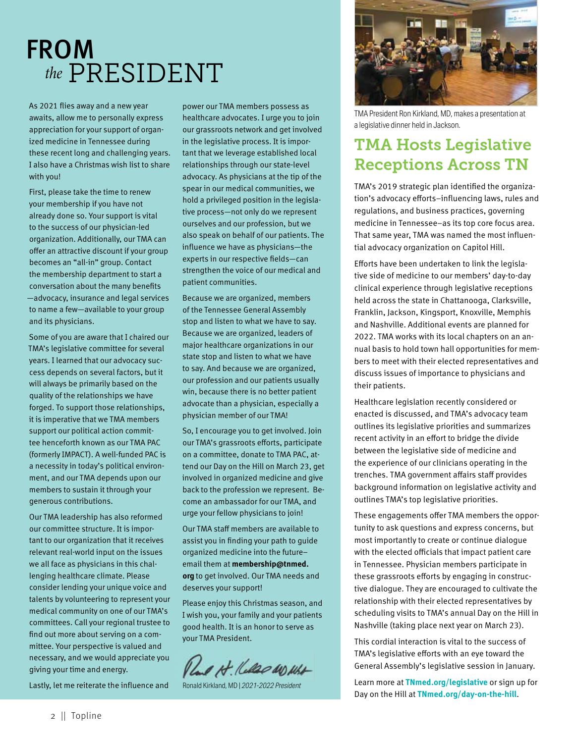# FROM *the* PRESIDENT

As 2021 flies away and a new year awaits, allow me to personally express appreciation for your support of organized medicine in Tennessee during these recent long and challenging years. I also have a Christmas wish list to share with you!

First, please take the time to renew your membership if you have not already done so. Your support is vital to the success of our physician-led organization. Additionally, our TMA can offer an attractive discount if your group becomes an "all-in" group. Contact the membership department to start a conversation about the many benefits —advocacy, insurance and legal services to name a few—available to your group and its physicians.

Some of you are aware that I chaired our TMA's legislative committee for several years. I learned that our advocacy success depends on several factors, but it will always be primarily based on the quality of the relationships we have forged. To support those relationships, it is imperative that we TMA members support our political action committee henceforth known as our TMA PAC (formerly IMPACT). A well-funded PAC is a necessity in today's political environment, and our TMA depends upon our members to sustain it through your generous contributions.

Our TMA leadership has also reformed our committee structure. It is important to our organization that it receives relevant real-world input on the issues we all face as physicians in this challenging healthcare climate. Please consider lending your unique voice and talents by volunteering to represent your medical community on one of our TMA's committees. Call your regional trustee to find out more about serving on a committee. Your perspective is valued and necessary, and we would appreciate you giving your time and energy.

Lastly, let me reiterate the influence and

power our TMA members possess as healthcare advocates. I urge you to join our grassroots network and get involved in the legislative process. It is important that we leverage established local relationships through our state-level advocacy. As physicians at the tip of the spear in our medical communities, we hold a privileged position in the legislative process—not only do we represent ourselves and our profession, but we also speak on behalf of our patients. The influence we have as physicians—the experts in our respective fields—can strengthen the voice of our medical and patient communities.

Because we are organized, members of the Tennessee General Assembly stop and listen to what we have to say. Because we are organized, leaders of major healthcare organizations in our state stop and listen to what we have to say. And because we are organized, our profession and our patients usually win, because there is no better patient advocate than a physician, especially a physician member of our TMA!

So, I encourage you to get involved. Join our TMA's grassroots efforts, participate on a committee, donate to TMA PAC, attend our Day on the Hill on March 23, get involved in organized medicine and give back to the profession we represent. Become an ambassador for our TMA, and urge your fellow physicians to join!

Our TMA staff members are available to assist you in finding your path to guide organized medicine into the future– email them at **membership@tnmed. org** to get involved. Our TMA needs and deserves your support!

Please enjoy this Christmas season, and I wish you, your family and your patients good health. It is an honor to serve as your TMA President.

Pland Ht. Kelled WO What

Ronald Kirkland, MD | *2021-2022 President*



TMA President Ron Kirkland, MD, makes a presentation at a legislative dinner held in Jackson.

### TMA Hosts Legislative Receptions Across TN

TMA's 2019 strategic plan identified the organization's advocacy efforts–influencing laws, rules and regulations, and business practices, governing medicine in Tennessee–as its top core focus area. That same year, TMA was named the most influential advocacy organization on Capitol Hill.

Efforts have been undertaken to link the legislative side of medicine to our members' day-to-day clinical experience through legislative receptions held across the state in Chattanooga, Clarksville, Franklin, Jackson, Kingsport, Knoxville, Memphis and Nashville. Additional events are planned for 2022. TMA works with its local chapters on an annual basis to hold town hall opportunities for members to meet with their elected representatives and discuss issues of importance to physicians and their patients.

Healthcare legislation recently considered or enacted is discussed, and TMA's advocacy team outlines its legislative priorities and summarizes recent activity in an effort to bridge the divide between the legislative side of medicine and the experience of our clinicians operating in the trenches. TMA government affairs staff provides background information on legislative activity and outlines TMA's top legislative priorities.

These engagements offer TMA members the opportunity to ask questions and express concerns, but most importantly to create or continue dialogue with the elected officials that impact patient care in Tennessee. Physician members participate in these grassroots efforts by engaging in constructive dialogue. They are encouraged to cultivate the relationship with their elected representatives by scheduling visits to TMA's annual Day on the Hill in Nashville (taking place next year on March 23).

This cordial interaction is vital to the success of TMA's legislative efforts with an eye toward the General Assembly's legislative session in January.

Learn more at **[TNmed.org/legislative](https://www.tnmed.org/legislative/)** or sign up for Day on the Hill at **[TNmed.org/day-on-the-hill](https://www.tnmed.org/day-on-the-hill/)**.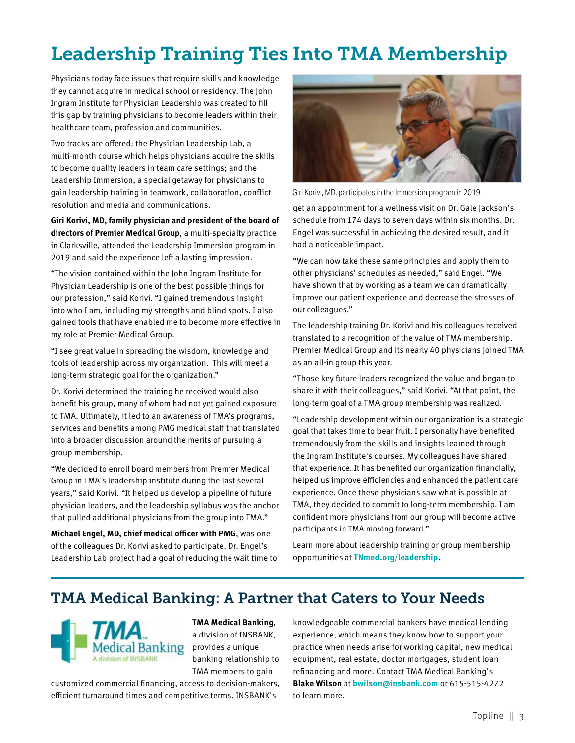# Leadership Training Ties Into TMA Membership

Physicians today face issues that require skills and knowledge they cannot acquire in medical school or residency. The John Ingram Institute for Physician Leadership was created to fill this gap by training physicians to become leaders within their healthcare team, profession and communities.

Two tracks are offered: the Physician Leadership Lab, a multi-month course which helps physicians acquire the skills to become quality leaders in team care settings; and the Leadership Immersion, a special getaway for physicians to gain leadership training in teamwork, collaboration, conflict resolution and media and communications.

**Giri Korivi, MD, family physician and president of the board of directors of Premier Medical Group**, a multi-specialty practice in Clarksville, attended the Leadership Immersion program in 2019 and said the experience left a lasting impression.

"The vision contained within the John Ingram Institute for Physician Leadership is one of the best possible things for our profession," said Korivi. "I gained tremendous insight into who I am, including my strengths and blind spots. I also gained tools that have enabled me to become more effective in my role at Premier Medical Group.

"I see great value in spreading the wisdom, knowledge and tools of leadership across my organization. This will meet a long-term strategic goal for the organization."

Dr. Korivi determined the training he received would also benefit his group, many of whom had not yet gained exposure to TMA. Ultimately, it led to an awareness of TMA's programs, services and benefits among PMG medical staff that translated into a broader discussion around the merits of pursuing a group membership.

"We decided to enroll board members from Premier Medical Group in TMA's leadership institute during the last several years," said Korivi. "It helped us develop a pipeline of future physician leaders, and the leadership syllabus was the anchor that pulled additional physicians from the group into TMA."

**Michael Engel, MD, chief medical officer with PMG**, was one of the colleagues Dr. Korivi asked to participate. Dr. Engel's Leadership Lab project had a goal of reducing the wait time to



Giri Korivi, MD, participates in the Immersion program in 2019.

get an appointment for a wellness visit on Dr. Gale Jackson's schedule from 174 days to seven days within six months. Dr. Engel was successful in achieving the desired result, and it had a noticeable impact.

"We can now take these same principles and apply them to other physicians' schedules as needed," said Engel. "We have shown that by working as a team we can dramatically improve our patient experience and decrease the stresses of our colleagues."

The leadership training Dr. Korivi and his colleagues received translated to a recognition of the value of TMA membership. Premier Medical Group and its nearly 40 physicians joined TMA as an all-in group this year.

"Those key future leaders recognized the value and began to share it with their colleagues," said Korivi. "At that point, the long-term goal of a TMA group membership was realized.

"Leadership development within our organization is a strategic goal that takes time to bear fruit. I personally have benefited tremendously from the skills and insights learned through the Ingram Institute's courses. My colleagues have shared that experience. It has benefited our organization financially, helped us improve efficiencies and enhanced the patient care experience. Once these physicians saw what is possible at TMA, they decided to commit to long-term membership. I am confident more physicians from our group will become active participants in TMA moving forward."

Learn more about leadership training or group membership opportunities at **[TNmed.org/leadership](https://www.tnmed.org/leadership/)**.

### TMA Medical Banking: A Partner that Caters to Your Needs



**TMA Medical Banking**, a division of INSBANK, provides a unique banking relationship to TMA members to gain

customized commercial financing, access to decision-makers, efficient turnaround times and competitive terms. INSBANK's

knowledgeable commercial bankers have medical lending experience, which means they know how to support your practice when needs arise for working capital, new medical equipment, real estate, doctor mortgages, student loan refinancing and more. Contact TMA Medical Banking's **Blake Wilson** at **bwilson@insbank.com** or 615-515-4272 to learn more.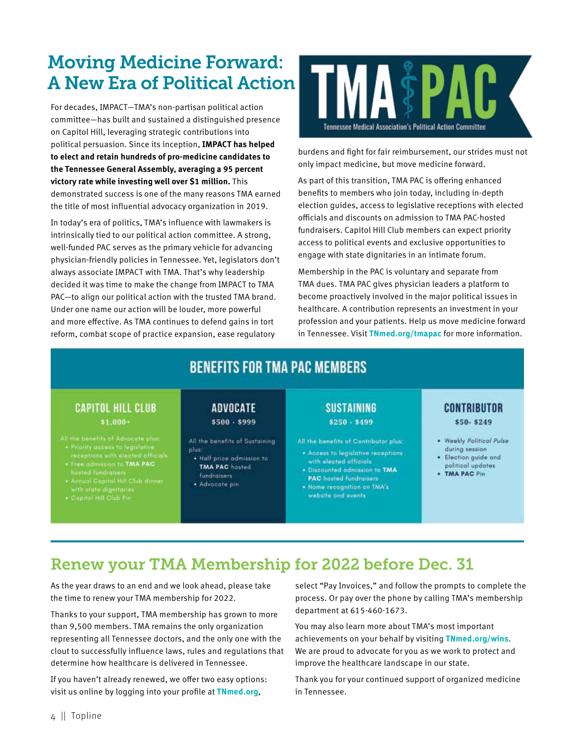# Moving Medicine Forward: A New Era of Political Action

For decades, IMPACT—TMA's non-partisan political action committee—has built and sustained a distinguished presence on Capitol Hill, leveraging strategic contributions into political persuasion. Since its inception, **IMPACT has helped to elect and retain hundreds of pro-medicine candidates to the Tennessee General Assembly, averaging a 95 percent victory rate while investing well over \$1 million.** This demonstrated success is one of the many reasons TMA earned the title of most influential advocacy organization in 2019.

In today's era of politics, TMA's influence with lawmakers is intrinsically tied to our political action committee. A strong, well-funded PAC serves as the primary vehicle for advancing physician-friendly policies in Tennessee. Yet, legislators don't always associate IMPACT with TMA. That's why leadership decided it was time to make the change from IMPACT to TMA PAC—to align our political action with the trusted TMA brand. Under one name our action will be louder, more powerful and more effective. As TMA continues to defend gains in tort reform, combat scope of practice expansion, ease regulatory



burdens and fight for fair reimbursement, our strides must not only impact medicine, but move medicine forward.

As part of this transition, TMA PAC is offering enhanced benefits to members who join today, including in-depth election guides, access to legislative receptions with elected officials and discounts on admission to TMA PAC-hosted fundraisers. Capitol Hill Club members can expect priority access to political events and exclusive opportunities to engage with state dignitaries in an intimate forum.

Membership in the PAC is voluntary and separate from TMA dues. TMA PAC gives physician leaders a platform to become proactively involved in the major political issues in healthcare. A contribution represents an investment in your profession and your patients. Help us move medicine forward in Tennessee. Visit **[TNmed.org/tmapac](https://www.tnmed.org/tmapac/)** for more information.

## **BENEFITS FOR TMA PAC MEMBERS**

#### **CAPITOL HILL CLUB**  $$1,000+$

- Priority access to legislative<br>receptions with elected officials<br>• Free admission to TMA PAC
- 
- Free astronomics to TMA PAG<br>hosted fundraisers<br>• Annual Capital Hill Club dinner<br>with state dignitaries<br>• Capital Hill Club Pin
- 

#### **ADVOCATE** \$500 - \$999

All the benefits of Sustaining plus:

- · Half price admission to **TMA PAC** hosted fundraisers
- · Advocate pin

#### **SUSTAINING**  $$250 - $499$

All the benefits of Contributor plus:

- · Access to legislative receptions with elected officials
- · Discounted admission to TMA **PAC** hosted fundraisers
- . Name recognition on TMA's website and events

#### **CONTRIBUTOR** \$50-\$249

- . Weekly Political Pulse during session
- · Election guide and political updates
- · TMA PAC Pin

## Renew your TMA Membership for 2022 before Dec. 31

As the year draws to an end and we look ahead, please take the time to renew your TMA membership for 2022.

Thanks to your support, TMA membership has grown to more than 9,500 members. TMA remains the only organization representing all Tennessee doctors, and the only one with the clout to successfully influence laws, rules and regulations that determine how healthcare is delivered in Tennessee.

If you haven't already renewed, we offer two easy options: visit us online by logging into your profile at **TNmed.org**,

select "Pay Invoices," and follow the prompts to complete the process. Or pay over the phone by calling TMA's membership department at 615-460-1673.

You may also learn more about TMA's most important achievements on your behalf by visiting **TNmed.org/wins**. We are proud to advocate for you as we work to protect and improve the healthcare landscape in our state.

Thank you for your continued support of organized medicine in Tennessee.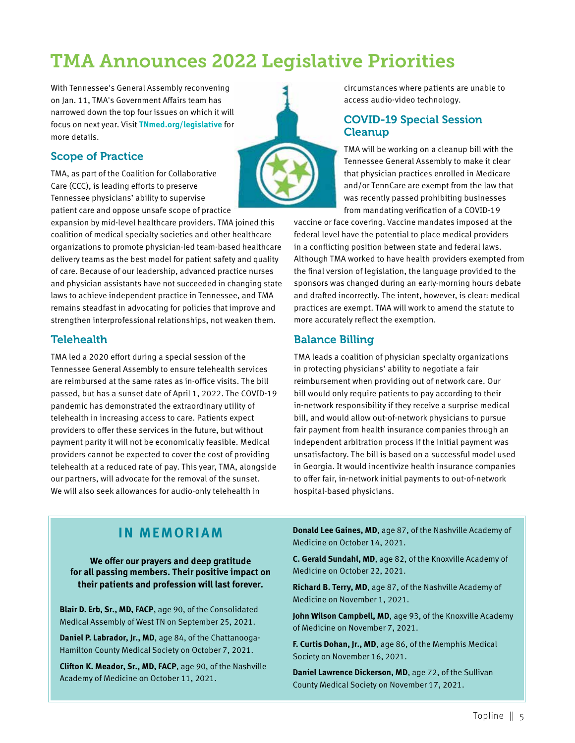# TMA Announces 2022 Legislative Priorities

With Tennessee's General Assembly reconvening on Jan. 11, TMA's Government Affairs team has narrowed down the top four issues on which it will focus on next year. Visit **[TNmed.org/legislative](https://www.tnmed.org/legislative/)** for more details.

#### Scope of Practice

TMA, as part of the Coalition for Collaborative Care (CCC), is leading efforts to preserve Tennessee physicians' ability to supervise patient care and oppose unsafe scope of practice

expansion by mid-level healthcare providers. TMA joined this coalition of medical specialty societies and other healthcare organizations to promote physician-led team-based healthcare delivery teams as the best model for patient safety and quality of care. Because of our leadership, advanced practice nurses and physician assistants have not succeeded in changing state laws to achieve independent practice in Tennessee, and TMA remains steadfast in advocating for policies that improve and strengthen interprofessional relationships, not weaken them.

#### **Telehealth**

TMA led a 2020 effort during a special session of the Tennessee General Assembly to ensure telehealth services are reimbursed at the same rates as in-office visits. The bill passed, but has a sunset date of April 1, 2022. The COVID-19 pandemic has demonstrated the extraordinary utility of telehealth in increasing access to care. Patients expect providers to offer these services in the future, but without payment parity it will not be economically feasible. Medical providers cannot be expected to cover the cost of providing telehealth at a reduced rate of pay. This year, TMA, alongside our partners, will advocate for the removal of the sunset. We will also seek allowances for audio-only telehealth in



#### COVID-19 Special Session Cleanup

TMA will be working on a cleanup bill with the Tennessee General Assembly to make it clear that physician practices enrolled in Medicare and/or TennCare are exempt from the law that was recently passed prohibiting businesses from mandating verification of a COVID-19

vaccine or face covering. Vaccine mandates imposed at the federal level have the potential to place medical providers in a conflicting position between state and federal laws. Although TMA worked to have health providers exempted from the final version of legislation, the language provided to the sponsors was changed during an early-morning hours debate and drafted incorrectly. The intent, however, is clear: medical practices are exempt. TMA will work to amend the statute to more accurately reflect the exemption.

#### Balance Billing

TMA leads a coalition of physician specialty organizations in protecting physicians' ability to negotiate a fair reimbursement when providing out of network care. Our bill would only require patients to pay according to their in-network responsibility if they receive a surprise medical bill, and would allow out-of-network physicians to pursue fair payment from health insurance companies through an independent arbitration process if the initial payment was unsatisfactory. The bill is based on a successful model used in Georgia. It would incentivize health insurance companies to offer fair, in-network initial payments to out-of-network hospital-based physicians.

#### **IN MEMORIAM**

**We offer our prayers and deep gratitude for all passing members. Their positive impact on their patients and profession will last forever.** 

**Blair D. Erb, Sr., MD, FACP**, age 90, of the Consolidated Medical Assembly of West TN on September 25, 2021.

**Daniel P. Labrador, Jr., MD**, age 84, of the Chattanooga-Hamilton County Medical Society on October 7, 2021.

**Clifton K. Meador, Sr., MD, FACP**, age 90, of the Nashville Academy of Medicine on October 11, 2021.

**Donald Lee Gaines, MD**, age 87, of the Nashville Academy of Medicine on October 14, 2021.

**C. Gerald Sundahl, MD**, age 82, of the Knoxville Academy of Medicine on October 22, 2021.

**Richard B. Terry, MD**, age 87, of the Nashville Academy of Medicine on November 1, 2021.

John Wilson Campbell, MD, age 93, of the Knoxville Academy of Medicine on November 7, 2021.

**F. Curtis Dohan, Jr., MD**, age 86, of the Memphis Medical Society on November 16, 2021.

**Daniel Lawrence Dickerson, MD**, age 72, of the Sullivan County Medical Society on November 17, 2021.

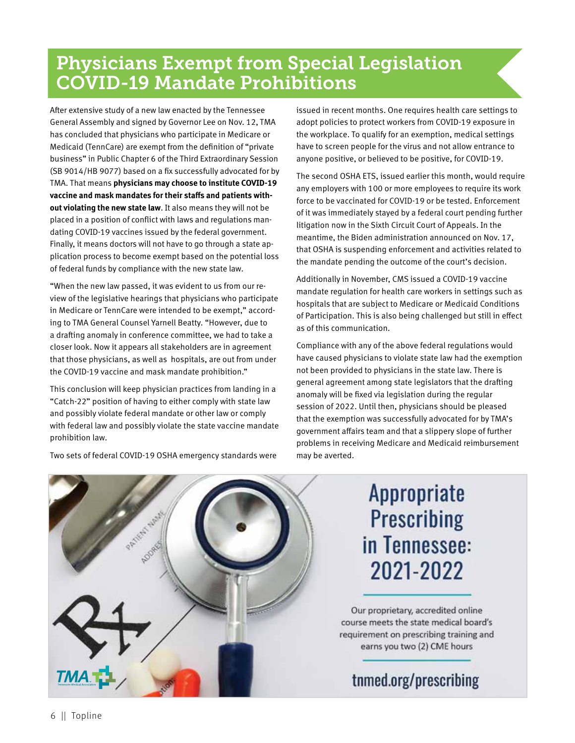# Physicians Exempt from Special Legislation COVID-19 Mandate Prohibitions

After extensive study of a new law enacted by the Tennessee General Assembly and signed by Governor Lee on Nov. 12, TMA has concluded that physicians who participate in Medicare or Medicaid (TennCare) are exempt from the definition of "private business" in Public Chapter 6 of the Third Extraordinary Session (SB 9014/HB 9077) based on a fix successfully advocated for by TMA. That means **physicians may choose to institute COVID-19 vaccine and mask mandates for their staffs and patients without violating the new state law**. It also means they will not be placed in a position of conflict with laws and regulations mandating COVID-19 vaccines issued by the federal government. Finally, it means doctors will not have to go through a state application process to become exempt based on the potential loss of federal funds by compliance with the new state law.

"When the new law passed, it was evident to us from our review of the legislative hearings that physicians who participate in Medicare or TennCare were intended to be exempt," according to TMA General Counsel Yarnell Beatty. "However, due to a drafting anomaly in conference committee, we had to take a closer look. Now it appears all stakeholders are in agreement that those physicians, as well as hospitals, are out from under the COVID-19 vaccine and mask mandate prohibition."

This conclusion will keep physician practices from landing in a "Catch-22" position of having to either comply with state law and possibly violate federal mandate or other law or comply with federal law and possibly violate the state vaccine mandate prohibition law.

Two sets of federal COVID-19 OSHA emergency standards were

issued in recent months. One requires health care settings to adopt policies to protect workers from COVID-19 exposure in the workplace. To qualify for an exemption, medical settings have to screen people for the virus and not allow entrance to anyone positive, or believed to be positive, for COVID-19.

The second OSHA ETS, issued earlier this month, would require any employers with 100 or more employees to require its work force to be vaccinated for COVID-19 or be tested. Enforcement of it was immediately stayed by a federal court pending further litigation now in the Sixth Circuit Court of Appeals. In the meantime, the Biden administration announced on Nov. 17, that OSHA is suspending enforcement and activities related to the mandate pending the outcome of the court's decision.

Additionally in November, CMS issued a COVID-19 vaccine mandate regulation for health care workers in settings such as hospitals that are subject to Medicare or Medicaid Conditions of Participation. This is also being challenged but still in effect as of this communication.

Compliance with any of the above federal regulations would have caused physicians to violate state law had the exemption not been provided to physicians in the state law. There is general agreement among state legislators that the drafting anomaly will be fixed via legislation during the regular session of 2022. Until then, physicians should be pleased that the exemption was successfully advocated for by TMA's government affairs team and that a slippery slope of further problems in receiving Medicare and Medicaid reimbursement may be averted.



# **Appropriate Prescribing** in Tennessee: 2021-2022

Our proprietary, accredited online course meets the state medical board's requirement on prescribing training and earns you two (2) CME hours

tnmed.org/prescribing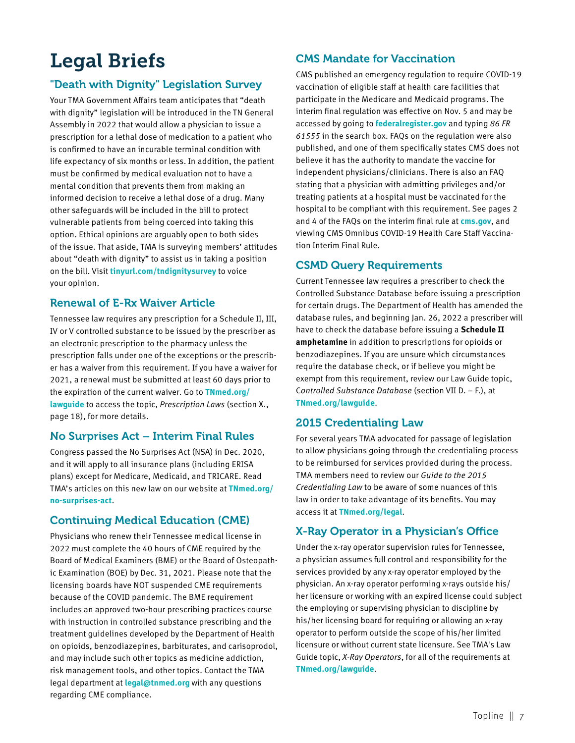# Legal Briefs

#### "Death with Dignity" Legislation Survey

Your TMA Government Affairs team anticipates that "death with dignity" legislation will be introduced in the TN General Assembly in 2022 that would allow a physician to issue a prescription for a lethal dose of medication to a patient who is confirmed to have an incurable terminal condition with life expectancy of six months or less. In addition, the patient must be confirmed by medical evaluation not to have a mental condition that prevents them from making an informed decision to receive a lethal dose of a drug. Many other safeguards will be included in the bill to protect vulnerable patients from being coerced into taking this option. Ethical opinions are arguably open to both sides of the issue. That aside, TMA is surveying members' attitudes about "death with dignity" to assist us in taking a position on the bill. Visit **[tinyurl.com/tndignitysurvey](https://www.surveymonkey.com/r/V5JP56F)** to voice your opinion.

#### Renewal of E-Rx Waiver Article

Tennessee law requires any prescription for a Schedule II, III, IV or V controlled substance to be issued by the prescriber as an electronic prescription to the pharmacy unless the prescription falls under one of the exceptions or the prescriber has a waiver from this requirement. If you have a waiver for 2021, a renewal must be submitted at least 60 days prior to the expiration of the current waiver. Go to **[TNmed.org/](https://www.tnmed.org/lawguide/) [lawguide](https://www.tnmed.org/lawguide/)** to access the topic, *Prescription Laws* (section X., page 18), for more details.

#### No Surprises Act – Interim Final Rules

Congress passed the No Surprises Act (NSA) in Dec. 2020, and it will apply to all insurance plans (including ERISA plans) except for Medicare, Medicaid, and TRICARE. Read TMA's articles on this new law on our website at **[TNmed.org/](https://www.tnmed.org/no-surprises-act/) [no-surprises-act](https://www.tnmed.org/no-surprises-act/)**.

#### Continuing Medical Education (CME)

Physicians who renew their Tennessee medical license in 2022 must complete the 40 hours of CME required by the Board of Medical Examiners (BME) or the Board of Osteopathic Examination (BOE) by Dec. 31, 2021. Please note that the licensing boards have NOT suspended CME requirements because of the COVID pandemic. The BME requirement includes an approved two-hour prescribing practices course with instruction in controlled substance prescribing and the treatment guidelines developed by the Department of Health on opioids, benzodiazepines, barbiturates, and carisoprodol, and may include such other topics as medicine addiction, risk management tools, and other topics. Contact the TMA legal department at **legal@tnmed.org** with any questions regarding CME compliance.

#### CMS Mandate for Vaccination

CMS published an emergency regulation to require COVID-19 vaccination of eligible staff at health care facilities that participate in the Medicare and Medicaid programs. The interim final regulation was effective on Nov. 5 and may be accessed by going to **[federalregister.gov](https://www.federalregister.gov/)** and typing *86 FR 61555* in the search box. FAQs on the regulation were also published, and one of them specifically states CMS does not believe it has the authority to mandate the vaccine for independent physicians/clinicians. There is also an FAQ stating that a physician with admitting privileges and/or treating patients at a hospital must be vaccinated for the hospital to be compliant with this requirement. See pages 2 and 4 of the FAQs on the interim final rule at **[cms.gov](https://www.cms.gov/)**, and viewing CMS Omnibus COVID-19 Health Care Staff Vaccination Interim Final Rule.

#### CSMD Query Requirements

Current Tennessee law requires a prescriber to check the Controlled Substance Database before issuing a prescription for certain drugs. The Department of Health has amended the database rules, and beginning Jan. 26, 2022 a prescriber will have to check the database before issuing a **Schedule II amphetamine** in addition to prescriptions for opioids or benzodiazepines. If you are unsure which circumstances require the database check, or if believe you might be exempt from this requirement, review our Law Guide topic, C*ontrolled Substance Database* (section VII D. – F.), at **[TNmed.org/lawguide](https://www.tnmed.org/lawguide/)**.

#### 2015 Credentialing Law

For several years TMA advocated for passage of legislation to allow physicians going through the credentialing process to be reimbursed for services provided during the process. TMA members need to review our *Guide to the 2015 Credentialing Law* to be aware of some nuances of this law in order to take advantage of its benefits. You may access it at **[TNmed.org/legal](https://www.tnmed.org/legal-guidance-for-your-practice/)**.

#### X-Ray Operator in a Physician's Office

Under the x-ray operator supervision rules for Tennessee, a physician assumes full control and responsibility for the services provided by any x-ray operator employed by the physician. An x-ray operator performing x-rays outside his/ her licensure or working with an expired license could subject the employing or supervising physician to discipline by his/her licensing board for requiring or allowing an x-ray operator to perform outside the scope of his/her limited licensure or without current state licensure. See TMA's Law Guide topic, *X-Ray Operators*, for all of the requirements at **[TNmed.org/lawguide](https://www.tnmed.org/lawguide/)**.